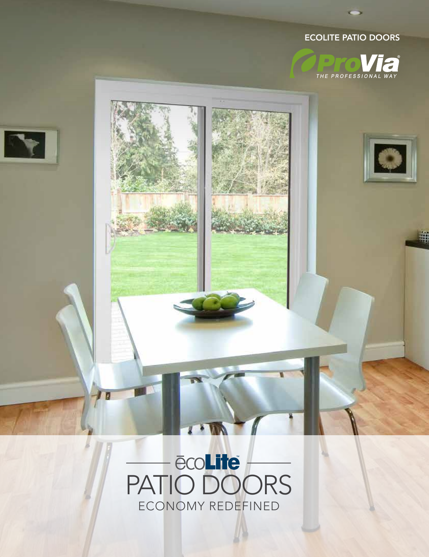# ECOLITE PATIO DOORS



le

亜



# PATIO DOORS ECONOMY REDEFINED

 $\mathbf{r} \cdot \mathbf{w}$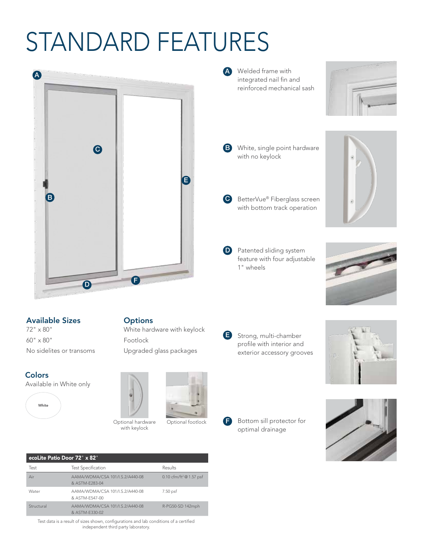# STANDARD FEATURES



A Welded frame with integrated nail fin and reinforced mechanical sash



- **B** White, single point hardware with no keylock
- **C** BetterVue<sup>®</sup> Fiberglass screen with bottom track operation
- **D** Patented sliding system feature with four adjustable 1" wheels





60" x 80" No sidelites or transoms

### **Colors**

Available in White only



**Options** White hardware with keylock Footlock

Upgraded glass packages



with keylock

Optional hardware Qptional footlock F Optional footlock

Strong, multi-chamber profile with interior and exterior accessory grooves E



Bottom sill protector for optimal drainage



| ecoLite Patio Door 72" x 82" |                                                   |                                       |
|------------------------------|---------------------------------------------------|---------------------------------------|
| Test                         | <b>Test Specification</b>                         | Results                               |
| Air                          | AAMA/WDMA/CSA 101/I.S.2/A440-08<br>& ASTM-F283-04 | 0.10 cfm/ft <sup>2</sup> $@$ 1.57 psf |
| Water                        | AAMA/WDMA/CSA 101/I.S.2/A440-08<br>& ASTM-F547-00 | 7.50 psf                              |
| Structural                   | AAMA/WDMA/CSA 101/I.S.2/A440-08<br>& ASTM-F330-02 | R-PG50-SD 142mph                      |

Test data is a result of sizes shown, configurations and lab conditions of a certified independent third party laboratory.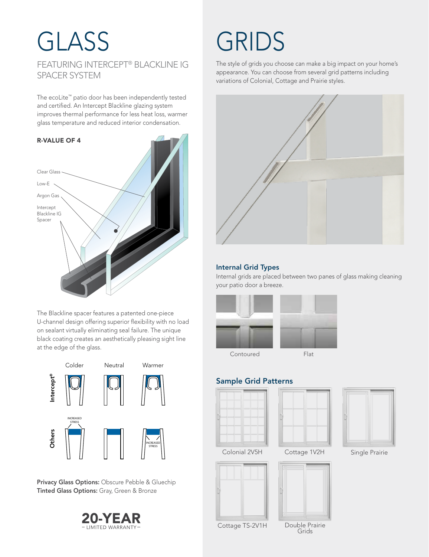# GLASS GRIDS FEATURING INTERCEPT® BLACKLINE IG SPACER SYSTEM

The ecoLite™ patio door has been independently tested and certified. An Intercept Blackline glazing system improves thermal performance for less heat loss, warmer glass temperature and reduced interior condensation.



The Blackline spacer features a patented one-piece U-channel design offering superior flexibility with no load on sealant virtually eliminating seal failure. The unique black coating creates an aesthetically pleasing sight line at the edge of the glass.



Privacy Glass Options: Obscure Pebble & Gluechip Tinted Glass Options: Gray, Green & Bronze



The style of grids you choose can make a big impact on your home's appearance. You can choose from several grid patterns including variations of Colonial, Cottage and Prairie styles.



## Internal Grid Types

Internal grids are placed between two panes of glass making cleaning your patio door a breeze.



Contoured Flat

## Sample Grid Patterns









Cottage TS-2V1H Double Prairie Grids